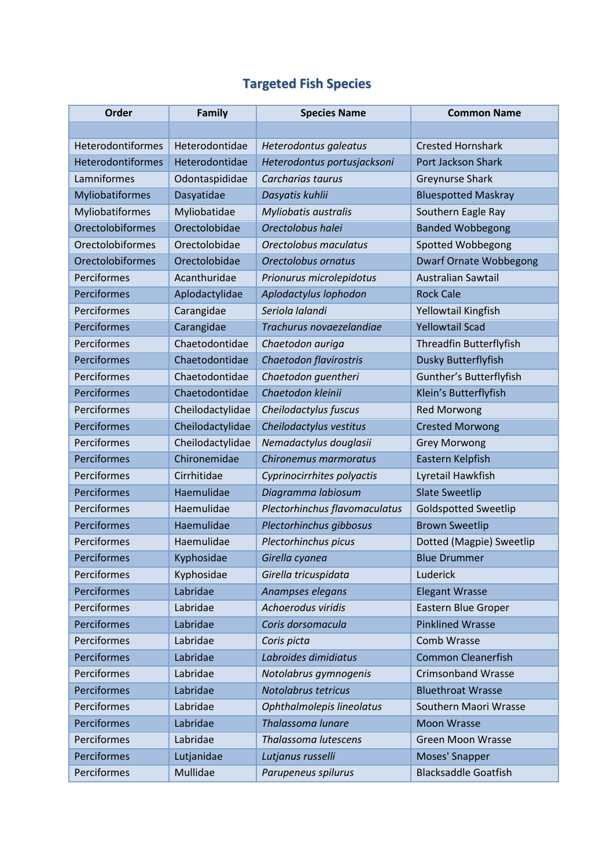## **Targeted Fish Species**

| <b>Order</b>            | Family           | <b>Species Name</b>           | <b>Common Name</b>             |
|-------------------------|------------------|-------------------------------|--------------------------------|
|                         |                  |                               |                                |
| Heterodontiformes       | Heterodontidae   | Heterodontus galeatus         | <b>Crested Hornshark</b>       |
| Heterodontiformes       | Heterodontidae   | Heterodontus portusjacksoni   | Port Jackson Shark             |
| Lamniformes             | Odontaspididae   | Carcharias taurus             | <b>Greynurse Shark</b>         |
| Myliobatiformes         | Dasyatidae       | Dasyatis kuhlii               | <b>Bluespotted Maskray</b>     |
| Myliobatiformes         | Myliobatidae     | Myliobatis australis          | Southern Eagle Ray             |
| Orectolobiformes        | Orectolobidae    | Orectolobus halei             | <b>Banded Wobbegong</b>        |
| Orectolobiformes        | Orectolobidae    | Orectolobus maculatus         | Spotted Wobbegong              |
| <b>Orectolobiformes</b> | Orectolobidae    | Orectolobus ornatus           | <b>Dwarf Ornate Wobbegong</b>  |
| Perciformes             | Acanthuridae     | Prionurus microlepidotus      | <b>Australian Sawtail</b>      |
| Perciformes             | Aplodactylidae   | Aplodactylus lophodon         | <b>Rock Cale</b>               |
| Perciformes             | Carangidae       | Seriola lalandi               | Yellowtail Kingfish            |
| Perciformes             | Carangidae       | Trachurus novaezelandiae      | <b>Yellowtail Scad</b>         |
| Perciformes             | Chaetodontidae   | Chaetodon auriga              | <b>Threadfin Butterflyfish</b> |
| Perciformes             | Chaetodontidae   | Chaetodon flavirostris        | <b>Dusky Butterflyfish</b>     |
| Perciformes             | Chaetodontidae   | Chaetodon guentheri           | Gunther's Butterflyfish        |
| Perciformes             | Chaetodontidae   | Chaetodon kleinii             | Klein's Butterflyfish          |
| Perciformes             | Cheilodactylidae | Cheilodactylus fuscus         | <b>Red Morwong</b>             |
| Perciformes             | Cheilodactylidae | Cheilodactylus vestitus       | <b>Crested Morwong</b>         |
| Perciformes             | Cheilodactylidae | Nemadactylus douglasii        | <b>Grey Morwong</b>            |
| Perciformes             | Chironemidae     | Chironemus marmoratus         | Eastern Kelpfish               |
| Perciformes             | Cirrhitidae      | Cyprinocirrhites polyactis    | Lyretail Hawkfish              |
| Perciformes             | Haemulidae       | Diagramma labiosum            | <b>Slate Sweetlip</b>          |
| Perciformes             | Haemulidae       | Plectorhinchus flavomaculatus | <b>Goldspotted Sweetlip</b>    |
| Perciformes             | Haemulidae       | Plectorhinchus gibbosus       | <b>Brown Sweetlip</b>          |
| Perciformes             | Haemulidae       | Plectorhinchus picus          | Dotted (Magpie) Sweetlip       |
| Perciformes             | Kyphosidae       | Girella cyanea                | <b>Blue Drummer</b>            |
| Perciformes             | Kyphosidae       | Girella tricuspidata          | Luderick                       |
| Perciformes             | Labridae         | Anampses elegans              | <b>Elegant Wrasse</b>          |
| Perciformes             | Labridae         | Achoerodus viridis            | Eastern Blue Groper            |
| Perciformes             | Labridae         | Coris dorsomacula             | <b>Pinklined Wrasse</b>        |
| Perciformes             | Labridae         | Coris picta                   | Comb Wrasse                    |
| Perciformes             | Labridae         | Labroides dimidiatus          | <b>Common Cleanerfish</b>      |
| Perciformes             | Labridae         | Notolabrus gymnogenis         | <b>Crimsonband Wrasse</b>      |
| Perciformes             | Labridae         | Notolabrus tetricus           | <b>Bluethroat Wrasse</b>       |
| Perciformes             | Labridae         | Ophthalmolepis lineolatus     | Southern Maori Wrasse          |
| Perciformes             | Labridae         | Thalassoma lunare             | <b>Moon Wrasse</b>             |
| Perciformes             | Labridae         | Thalassoma lutescens          | <b>Green Moon Wrasse</b>       |
| Perciformes             | Lutjanidae       | Lutjanus russelli             | Moses' Snapper                 |
| Perciformes             | Mullidae         | Parupeneus spilurus           | <b>Blacksaddle Goatfish</b>    |